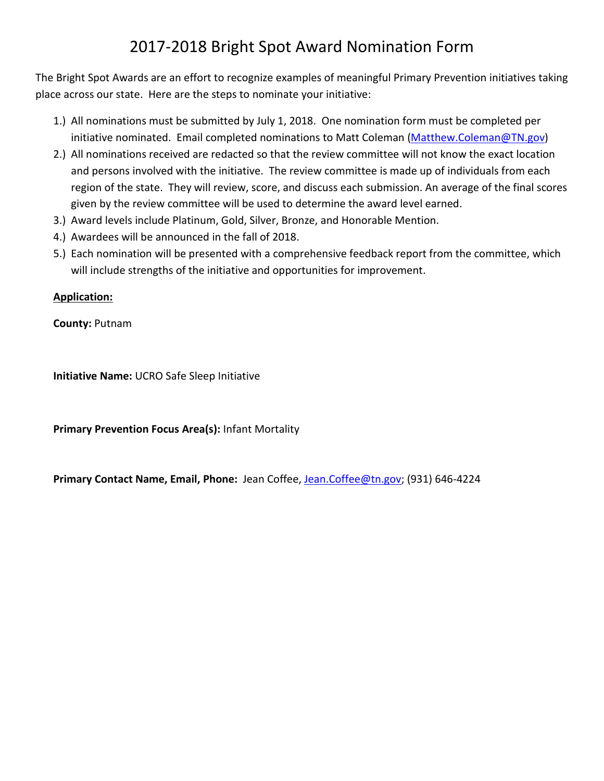# 2017-2018 Bright Spot Award Nomination Form

The Bright Spot Awards are an effort to recognize examples of meaningful Primary Prevention initiatives taking place across our state. Here are the steps to nominate your initiative:

- 1.) All nominations must be submitted by July 1, 2018. One nomination form must be completed per initiative nominated. Email completed nominations to Matt Coleman [\(Matthew.Coleman@TN.gov\)](mailto:Matthew.Coleman@TN.gov)
- 2.) All nominations received are redacted so that the review committee will not know the exact location and persons involved with the initiative. The review committee is made up of individuals from each region of the state. They will review, score, and discuss each submission. An average of the final scores given by the review committee will be used to determine the award level earned.
- 3.) Award levels include Platinum, Gold, Silver, Bronze, and Honorable Mention.
- 4.) Awardees will be announced in the fall of 2018.
- 5.) Each nomination will be presented with a comprehensive feedback report from the committee, which will include strengths of the initiative and opportunities for improvement.

## **Application:**

**County:** Putnam

**Initiative Name:** UCRO Safe Sleep Initiative

**Primary Prevention Focus Area(s):** Infant Mortality

<span id="page-0-0"></span>**Primary Contact Name, Email, Phone:** Jean Coffee, [Jean.Coffee@tn.gov;](mailto:Jean.Coffee@tn.gov) (931) 646-4224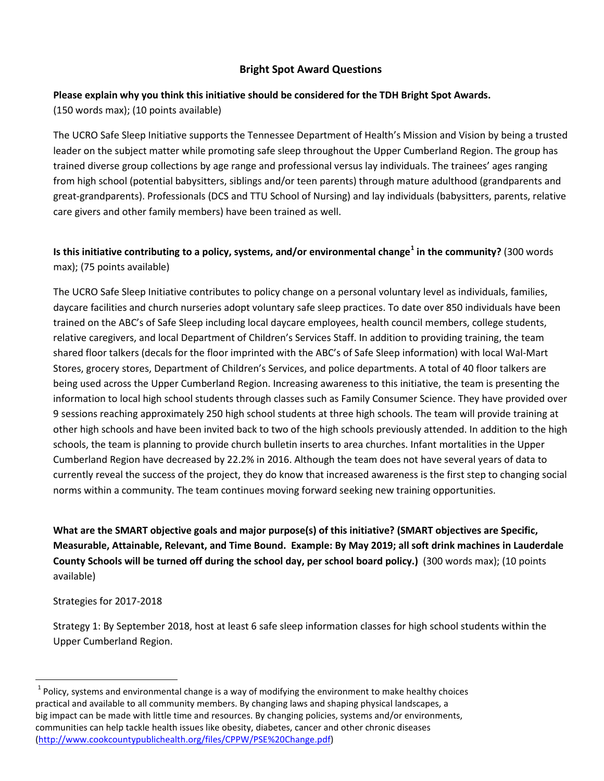#### **Bright Spot Award Questions**

### **Please explain why you think this initiative should be considered for the TDH Bright Spot Awards.**

(150 words max); (10 points available)

The UCRO Safe Sleep Initiative supports the Tennessee Department of Health's Mission and Vision by being a trusted leader on the subject matter while promoting safe sleep throughout the Upper Cumberland Region. The group has trained diverse group collections by age range and professional versus lay individuals. The trainees' ages ranging from high school (potential babysitters, siblings and/or teen parents) through mature adulthood (grandparents and great-grandparents). Professionals (DCS and TTU School of Nursing) and lay individuals (babysitters, parents, relative care givers and other family members) have been trained as well.

# **Is this initiative contributing to a policy, systems, and/or environmental change[1](#page-0-0) in the community?** (300 words max); (75 points available)

The UCRO Safe Sleep Initiative contributes to policy change on a personal voluntary level as individuals, families, daycare facilities and church nurseries adopt voluntary safe sleep practices. To date over 850 individuals have been trained on the ABC's of Safe Sleep including local daycare employees, health council members, college students, relative caregivers, and local Department of Children's Services Staff. In addition to providing training, the team shared floor talkers (decals for the floor imprinted with the ABC's of Safe Sleep information) with local Wal-Mart Stores, grocery stores, Department of Children's Services, and police departments. A total of 40 floor talkers are being used across the Upper Cumberland Region. Increasing awareness to this initiative, the team is presenting the information to local high school students through classes such as Family Consumer Science. They have provided over 9 sessions reaching approximately 250 high school students at three high schools. The team will provide training at other high schools and have been invited back to two of the high schools previously attended. In addition to the high schools, the team is planning to provide church bulletin inserts to area churches. Infant mortalities in the Upper Cumberland Region have decreased by 22.2% in 2016. Although the team does not have several years of data to currently reveal the success of the project, they do know that increased awareness is the first step to changing social norms within a community. The team continues moving forward seeking new training opportunities.

**What are the SMART objective goals and major purpose(s) of this initiative? (SMART objectives are Specific, Measurable, Attainable, Relevant, and Time Bound. Example: By May 2019; all soft drink machines in Lauderdale County Schools will be turned off during the school day, per school board policy.)** (300 words max); (10 points available)

#### Strategies for 2017-2018

Strategy 1: By September 2018, host at least 6 safe sleep information classes for high school students within the Upper Cumberland Region.

 $1$  Policy, systems and environmental change is a way of modifying the environment to make healthy choices practical and available to all community members. By changing laws and shaping physical landscapes, a big impact can be made with little time and resources. By changing policies, systems and/or environments, communities can help tackle health issues like obesity, diabetes, cancer and other chronic diseases [\(http://www.cookcountypublichealth.org/files/CPPW/PSE%20Change.pdf\)](http://www.cookcountypublichealth.org/files/CPPW/PSE%20Change.pdf)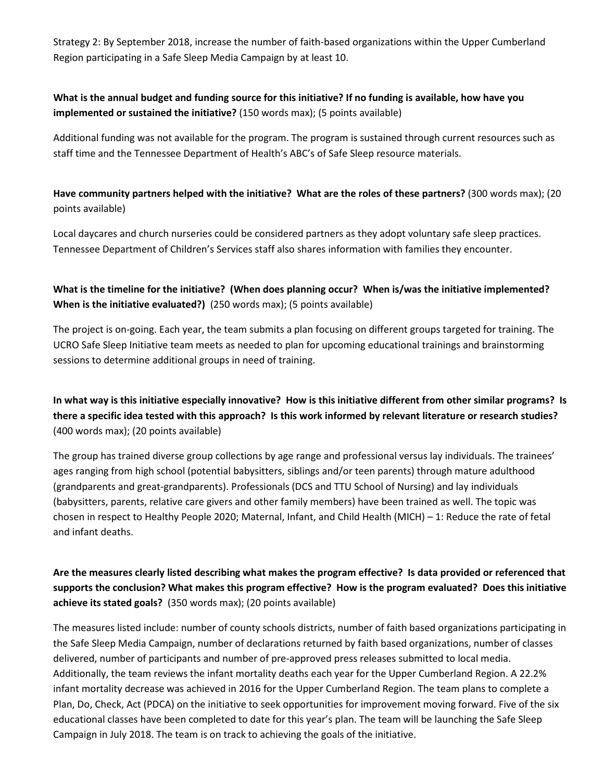Strategy 2: By September 2018, increase the number of faith-based organizations within the Upper Cumberland Region participating in a Safe Sleep Media Campaign by at least 10.

# **What is the annual budget and funding source for this initiative? If no funding is available, how have you implemented or sustained the initiative?** (150 words max); (5 points available)

Additional funding was not available for the program. The program is sustained through current resources such as staff time and the Tennessee Department of Health's ABC's of Safe Sleep resource materials.

**Have community partners helped with the initiative? What are the roles of these partners?** (300 words max); (20 points available)

Local daycares and church nurseries could be considered partners as they adopt voluntary safe sleep practices. Tennessee Department of Children's Services staff also shares information with families they encounter.

## **What is the timeline for the initiative? (When does planning occur? When is/was the initiative implemented? When is the initiative evaluated?)** (250 words max); (5 points available)

The project is on-going. Each year, the team submits a plan focusing on different groups targeted for training. The UCRO Safe Sleep Initiative team meets as needed to plan for upcoming educational trainings and brainstorming sessions to determine additional groups in need of training.

**In what way is this initiative especially innovative? How is this initiative different from other similar programs? Is there a specific idea tested with this approach? Is this work informed by relevant literature or research studies?**  (400 words max); (20 points available)

The group has trained diverse group collections by age range and professional versus lay individuals. The trainees' ages ranging from high school (potential babysitters, siblings and/or teen parents) through mature adulthood (grandparents and great-grandparents). Professionals (DCS and TTU School of Nursing) and lay individuals (babysitters, parents, relative care givers and other family members) have been trained as well. The topic was chosen in respect to Healthy People 2020; Maternal, Infant, and Child Health (MICH) – 1: Reduce the rate of fetal and infant deaths.

# **Are the measures clearly listed describing what makes the program effective? Is data provided or referenced that supports the conclusion? What makes this program effective? How is the program evaluated? Does this initiative achieve its stated goals?** (350 words max); (20 points available)

The measures listed include: number of county schools districts, number of faith based organizations participating in the Safe Sleep Media Campaign, number of declarations returned by faith based organizations, number of classes delivered, number of participants and number of pre-approved press releases submitted to local media. Additionally, the team reviews the infant mortality deaths each year for the Upper Cumberland Region. A 22.2% infant mortality decrease was achieved in 2016 for the Upper Cumberland Region. The team plans to complete a Plan, Do, Check, Act (PDCA) on the initiative to seek opportunities for improvement moving forward. Five of the six educational classes have been completed to date for this year's plan. The team will be launching the Safe Sleep Campaign in July 2018. The team is on track to achieving the goals of the initiative.